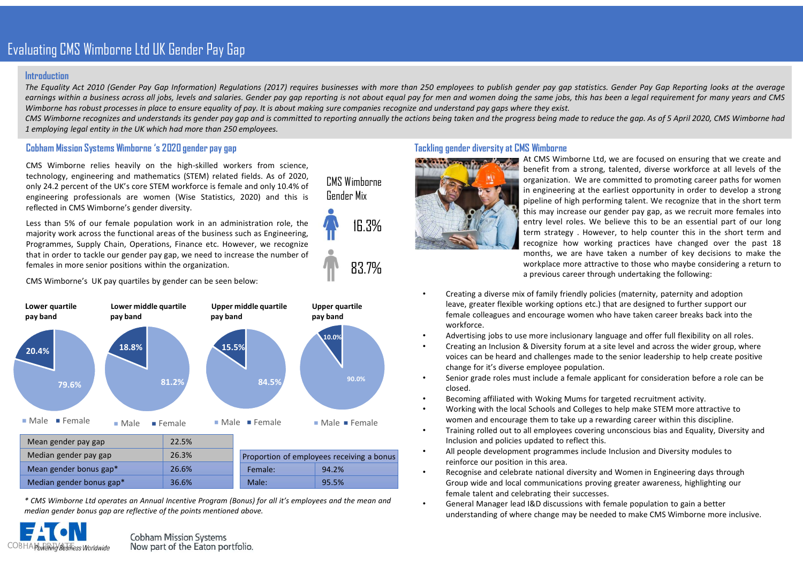# Evaluating CMS Wimborne Ltd UK Gender Pay Gap

#### Introduction

Intraduction<br>Intraduction<br>The Equality Act 2010 (Gender Pay Gap Information) Regulations (2017) requires businesses with more than 250 employees to publish gender pay gap statistics. Gender Pay Gap Reporting looks at the a earning EMS Wimborne Ltd UK Gender Pay Gap<br>Introduction<br>The Equality Act 2010 (Gender Pay Gap Information) Regulations (2017) requires businesses with more than 250 employees to publish gender pay gap statistics. Gender Pa Unating CMS Wimborne Ltd UK Gender Pay Gap<br>The equality Act 2010 (Gender Pay Gap Information) Regulations (2027) requires businesses with note than 250 employes to publish gender pay gaps statistics. Gender Pay Gap Reporti Interduction<br>
Interduction<br>
Interduction<br>
The Equality Act 2010 (Gender Pay Gap Information) Regulations (2017) requires businesses with more than 250 employees to publish gender pay gap statistics. Gender Pay Gap Reportin 1 employing legal entity in the UK which had more than 250 employees to publish gender per pay and the Equality Act 2010 (Gender Pay Gap Information) Regulations (2017) requires businesses with more than 250 employees to p Lutting CMS Wimborne Ltd LIK Bender Pay Bap<br>
Introduction<br>
Introduction<br>
Earther dustries corrections (2017) requires businesses with more than 250 employees to publish gender any gap statis<br>
EMINOR Wimborne has robust pr Luating CMS Wimburne Ltd LIK Gender Pay Gap<br>
Introduction<br>
Introduction<br>
nearings within o business ocross on ly obs, levels and statistics (2017) requires business of the more than 250 employes to publish gender pay gios **Consider the UK only 24.2** percent of the UK's core STEM workforce is female and only 10.4% of the UK's core STEM workforce is female and only 10.4% of the UK's core STEM workforce is female and only 10.4% of the UK's cor Luating CMS Wimborne Ltd UK Gender Pay Gap<br>
Introduction<br>
necessions are are women to the big statistics, 2020) and securities with one than 250 employes to publish gender pro gap statistics,<br>
Moreoving the same giants ar Less than 5 of our female and the thermatic method of the stationary of the stationary of the stationary of our female population within the complete population and the stationary of the stationary of the stationary of th Dusting CMS Wimbonne Ltd UK Gender Pay Gap<br>
Introduction<br>
Introductions of the function areas of the pay of the content of the pay of the content areas of the business such as Engineering is when the areas of the business Utaring CMS Wimborne Ltd UK Gender Pay Gap<br>
Introduction<br>
The Equatity Act 2010 (Sender Pay Gap Information) Regulations (2017) requires businesses with more than 250 employees to publish gender pay gap star<br>
Example the Unating CMS Wirmburne Ltd UK Gender Pay Gap<br>
Introduction<br>
Interduction<br>
The Equation Content of the Court of the Court of the Court of the Court of the Court of the Court of the Court of the Court of the Court of the Cour

CMS Wimborne Gender Mix

83.7%

### Cobham Mission Systems Wimborne 's 2020 gender pay gap

Unating GMS Wimborne Ltd UK Gender Pay Gap<br>
Intreduction<br>
Interduction<br>
Interduction<br>
Mine developed a consider the Secure of Secure Society of properties businesses with more than 250 employees<br>
Examples with a business a



| Mean gender pay gap      | 22.5% |                                           |  |  |  |
|--------------------------|-------|-------------------------------------------|--|--|--|
| Median gender pay gap    | 26.3% | Proportion of employees receiving a bonus |  |  |  |
| Mean gender bonus gap*   | 26.6% | 94.2%<br>Female:                          |  |  |  |
| Median gender bonus gap* | 36.6% | 95.5%<br>Male:                            |  |  |  |



Now part of the Eaton portfolio.

#### Tackling gender diversity at CMS Wimborne



16.3% 16.3% 16.3% Then strategy. However, to help counter this in the short term and mder pay gap statistics. Gender Pay Gap Reporting looks at the average<br>the same jobs, this has been a legal requirement for many years and CMS<br>ess being made to reduce the gap. As of 5 April 2020, CMS Wimborne had<br>IS Wimbo mder pay gap statistics. Gender Pay Gap Reporting looks at the average<br>the same jobs, this has been a legal requirement for many years and CMS<br>ret they exist.<br>ess being made to reduce the gap. As of 5 April 2020, CMS Wimbo nder pay gap statistics. Gender Pay Gap Reporting looks at the average<br>the same jobs, this has been a legal requirement for many years and CMS<br>rere they exist.<br>ess being made to reduce the gap. As of 5 April 2020, CMS Wimb mder pay gap statistics. Gender Pay Gap Reporting looks at the average<br>the same jobs, this has been a legal requirement for many years and CMS<br>rest they exist.<br>Sumburne<br>At CMS Wimborne Ltd, we are focused on ensuring that mder poy gap statistics. Gender Pay Gap Reporting looks at the average<br>the same jobs, this has been a legal requirement for many years and CMS<br>receting made to reduce the gap. As of 5 April 2020, CMS Wimborne had<br>IS Wimbor mder pay gap statistics. Gender Pay Gap Reporting looks at the average<br>the same jobs, this has been a legal requirement for many years and CMS<br>exere they exist.<br>ess being made to reduce the gap. As of 5 April 2020, CMS Wim mder pay gap statistics. Gender Pay Gap Reporting looks at the average<br>the same jobs, this has been a legal requirement for many years and CMS<br>rest fere they exist.<br>These they are a control of the gap. As of 5 April 2020, mder pay gap statistics. Gender Pay Gap Reporting looks at the average<br>the same jobs, this has been a legal requirement for many years and CMS<br>ress being mode to reduce the gap. As of 5 April 2020, CMS Wimborne had<br>Simulta nder pay gap statistics. Gender Pay Gap Reporting looks at the average<br>the same jobs, this has been a legal requirement for many years and CMS<br>rece they exist.<br>The same provide to reduce the gap. As of 5 April 2020, CMS Wi mder pay gap statistics. Gender Pay Gap Reporting looks at the average<br>the same jobs, this has been a legal requirement for many years and CMS<br>ret they exist.<br>Ess being made to reduce the gap. As of 5 April 2020, CMS Wimbo meer pay got stristics. Gender Pay Gap Reporting looks at the average the same jobs, this has been a legal requirement for many years and CMS ere they exist.<br>The same in the section of the section of the section of the sec mder pay gap statistics. Gender Pay Gap Reporting looks at the average<br>the same joobs, this has been a legal requirement for many years and CMS<br>ree they exist.<br>The same position and the divergence of S April 2020, CMS Wimb

- Creating a diverse mix of family friendly policies (maternity, paternity and adoption leave, greater flexible working options etc.) that are designed to further support our female colleagues and encourage women who have taken career breaks back into the workforce.
- 10.0% Advertising jobs to use more inclusionary language and offer full flexibility on all roles.
	- Creating an Inclusion & Diversity forum at a site level and across the wider group, where voices can be heard and challenges made to the senior leadership to help create positive change for it's diverse employee population.
	- 90.0% Senior grade roles must include a female applicant for consideration before a role can be closed.
		- Becoming affiliated with Woking Mums for targeted recruitment activity.
- Male Female **Women and encourage them to take up a rewarding career within this discipline.** • Working with the local Schools and Colleges to help make STEM more attractive to
	- Training rolled out to all employees covering unconscious bias and Equality, Diversity and Inclusion and policies updated to reflect this.
- Proportion of employees receiving a bonus<br>
reinforce our position in this area. • All people development programmes include Inclusion and Diversity modules to
- Female: 94.2% 94.2% Recognise and celebrate national diversity and Women in Engineering days through Group wide and local communications proving greater awareness, highlighting our female talent and celebrating their successes.
	- General Manager lead I&D discussions with female population to gain a better understanding of where change may be needed to make CMS Wimborne more inclusive.